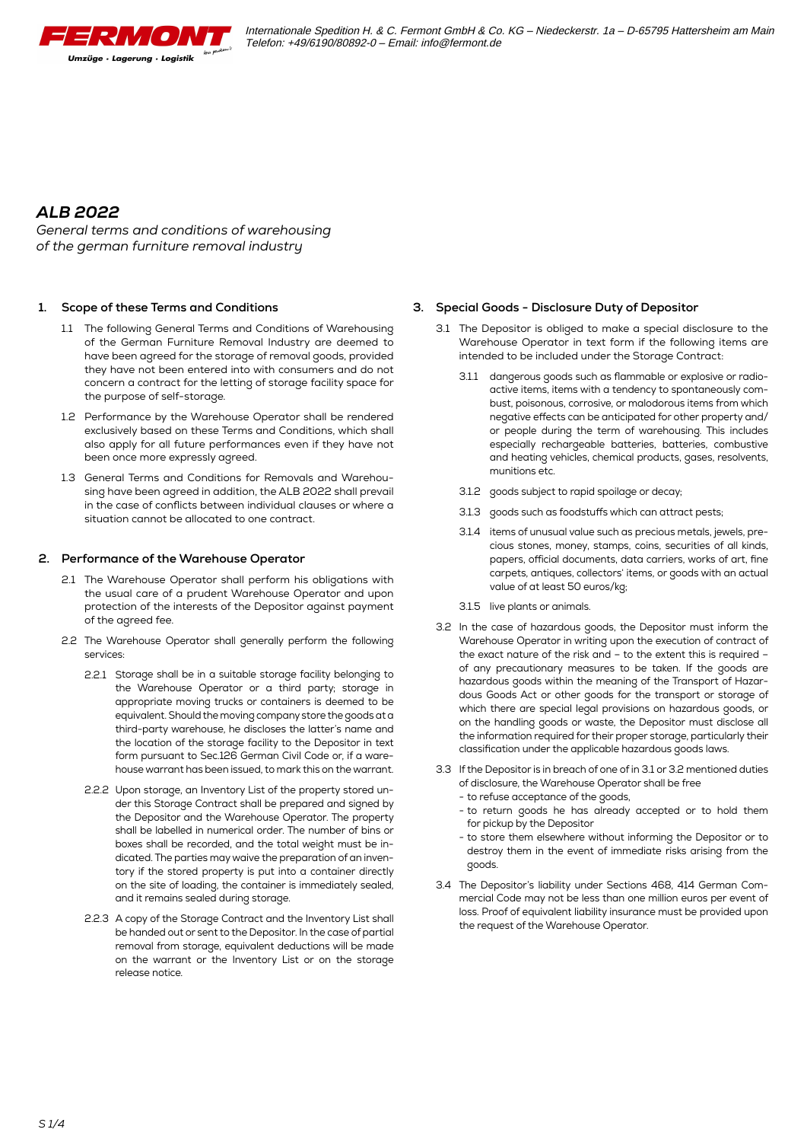

*General terms and conditions of warehousing of the german furniture removal industry*

#### **1. Scope of these Terms and Conditions**

- 1.1 The following General Terms and Conditions of Warehousing of the German Furniture Removal Industry are deemed to have been agreed for the storage of removal goods, provided they have not been entered into with consumers and do not concern a contract for the letting of storage facility space for the purpose of self-storage.
- 1.2 Performance by the Warehouse Operator shall be rendered exclusively based on these Terms and Conditions, which shall also apply for all future performances even if they have not been once more expressly agreed.
- 1.3 General Terms and Conditions for Removals and Warehousing have been agreed in addition, the ALB 2022 shall prevail in the case of conflicts between individual clauses or where a situation cannot be allocated to one contract.

## **2. Performance of the Warehouse Operator**

- 2.1 The Warehouse Operator shall perform his obligations with the usual care of a prudent Warehouse Operator and upon protection of the interests of the Depositor against payment of the agreed fee.
- 2.2 The Warehouse Operator shall generally perform the following services:
	- 2.2.1 Storage shall be in a suitable storage facility belonging to the Warehouse Operator or a third party; storage in appropriate moving trucks or containers is deemed to be equivalent. Should the moving company store the goods at a third-party warehouse, he discloses the latter's name and the location of the storage facility to the Depositor in text form pursuant to Sec.126 German Civil Code or, if a warehouse warrant has been issued, to mark this on the warrant.
	- 2.2.2 Upon storage, an Inventory List of the property stored under this Storage Contract shall be prepared and signed by the Depositor and the Warehouse Operator. The property shall be labelled in numerical order. The number of bins or boxes shall be recorded, and the total weight must be indicated. The parties may waive the preparation of an inventory if the stored property is put into a container directly on the site of loading, the container is immediately sealed, and it remains sealed during storage.
	- 2.2.3 A copy of the Storage Contract and the Inventory List shall be handed out or sent to the Depositor. In the case of partial removal from storage, equivalent deductions will be made on the warrant or the Inventory List or on the storage release notice.

#### **3. Special Goods - Disclosure Duty of Depositor**

- 3.1 The Depositor is obliged to make a special disclosure to the Warehouse Operator in text form if the following items are intended to be included under the Storage Contract:
	- 3.1.1 dangerous goods such as flammable or explosive or radioactive items, items with a tendency to spontaneously combust, poisonous, corrosive, or malodorous items from which negative effects can be anticipated for other property and/ or people during the term of warehousing. This includes especially rechargeable batteries, batteries, combustive and heating vehicles, chemical products, gases, resolvents, munitions etc.
	- 3.1.2 goods subject to rapid spoilage or decay;
	- 3.1.3 goods such as foodstuffs which can attract pests;
	- 3.1.4 items of unusual value such as precious metals, jewels, precious stones, money, stamps, coins, securities of all kinds, papers, official documents, data carriers, works of art, fine carpets, antiques, collectors' items, or goods with an actual value of at least 50 euros/kg;
	- 3.1.5 live plants or animals.
- 3.2 In the case of hazardous goods, the Depositor must inform the Warehouse Operator in writing upon the execution of contract of the exact nature of the risk and – to the extent this is required – of any precautionary measures to be taken. If the goods are hazardous goods within the meaning of the Transport of Hazardous Goods Act or other goods for the transport or storage of which there are special legal provisions on hazardous goods, or on the handling goods or waste, the Depositor must disclose all the information required for their proper storage, particularly their classification under the applicable hazardous goods laws.
- 3.3 If the Depositor is in breach of one of in 3.1 or 3.2 mentioned duties of disclosure, the Warehouse Operator shall be free
	- to refuse acceptance of the goods,
	- to return goods he has already accepted or to hold them for pickup by the Depositor
	- to store them elsewhere without informing the Depositor or to destroy them in the event of immediate risks arising from the goods.
- 3.4 The Depositor's liability under Sections 468, 414 German Commercial Code may not be less than one million euros per event of loss. Proof of equivalent liability insurance must be provided upon the request of the Warehouse Operator.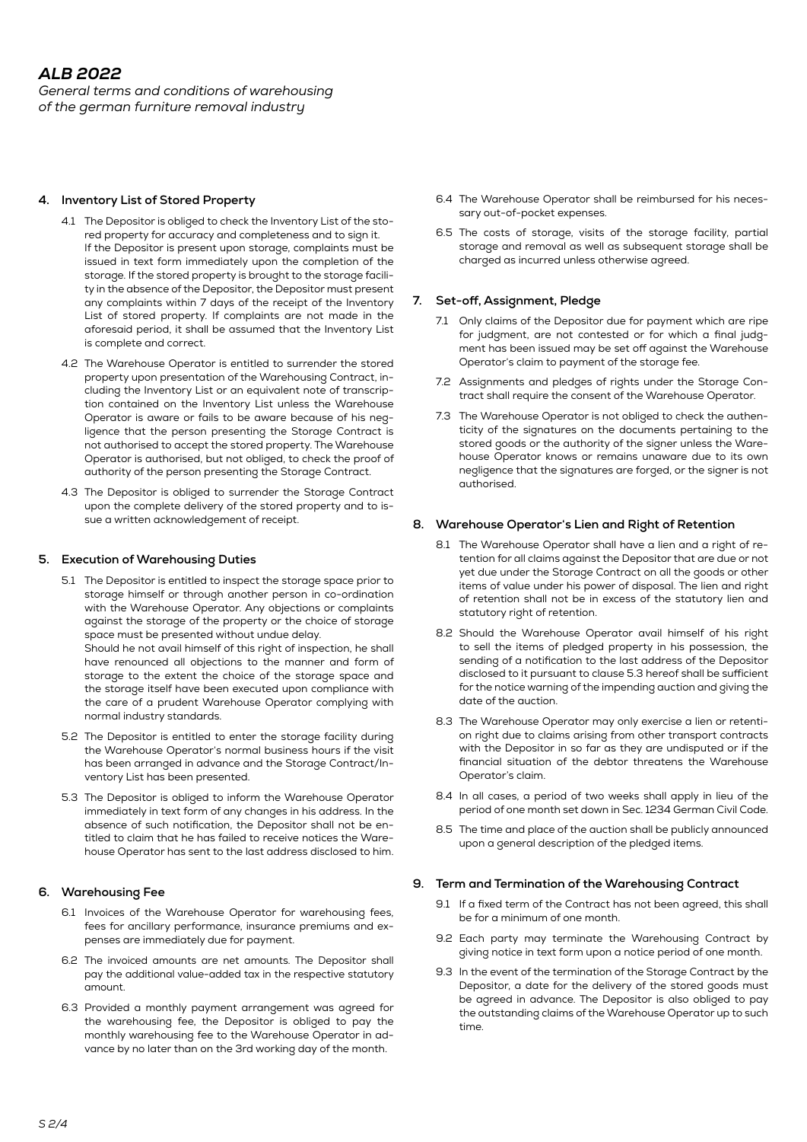*General terms and conditions of warehousing of the german furniture removal industry*

## **4. Inventory List of Stored Property**

- 4.1 The Depositor is obliged to check the Inventory List of the stored property for accuracy and completeness and to sign it. If the Depositor is present upon storage, complaints must be issued in text form immediately upon the completion of the storage. If the stored property is brought to the storage facility in the absence of the Depositor, the Depositor must present any complaints within 7 days of the receipt of the Inventory List of stored property. If complaints are not made in the aforesaid period, it shall be assumed that the Inventory List is complete and correct.
- 4.2 The Warehouse Operator is entitled to surrender the stored property upon presentation of the Warehousing Contract, including the Inventory List or an equivalent note of transcription contained on the Inventory List unless the Warehouse Operator is aware or fails to be aware because of his negligence that the person presenting the Storage Contract is not authorised to accept the stored property. The Warehouse Operator is authorised, but not obliged, to check the proof of authority of the person presenting the Storage Contract.
- 4.3 The Depositor is obliged to surrender the Storage Contract upon the complete delivery of the stored property and to issue a written acknowledgement of receipt.

## **5. Execution of Warehousing Duties**

5.1 The Depositor is entitled to inspect the storage space prior to storage himself or through another person in co-ordination with the Warehouse Operator. Any objections or complaints against the storage of the property or the choice of storage space must be presented without undue delay.

 Should he not avail himself of this right of inspection, he shall have renounced all objections to the manner and form of storage to the extent the choice of the storage space and the storage itself have been executed upon compliance with the care of a prudent Warehouse Operator complying with normal industry standards.

- 5.2 The Depositor is entitled to enter the storage facility during the Warehouse Operator's normal business hours if the visit has been arranged in advance and the Storage Contract/Inventory List has been presented.
- 5.3 The Depositor is obliged to inform the Warehouse Operator immediately in text form of any changes in his address. In the absence of such notification, the Depositor shall not be entitled to claim that he has failed to receive notices the Warehouse Operator has sent to the last address disclosed to him.

# **6. Warehousing Fee**

- 6.1 Invoices of the Warehouse Operator for warehousing fees, fees for ancillary performance, insurance premiums and expenses are immediately due for payment.
- 6.2 The invoiced amounts are net amounts. The Depositor shall pay the additional value-added tax in the respective statutory amount.
- 6.3 Provided a monthly payment arrangement was agreed for the warehousing fee, the Depositor is obliged to pay the monthly warehousing fee to the Warehouse Operator in advance by no later than on the 3rd working day of the month.
- 6.4 The Warehouse Operator shall be reimbursed for his necessary out-of-pocket expenses.
- 6.5 The costs of storage, visits of the storage facility, partial storage and removal as well as subsequent storage shall be charged as incurred unless otherwise agreed.

## **7. Set-off, Assignment, Pledge**

- 7.1 Only claims of the Depositor due for payment which are ripe for judgment, are not contested or for which a final judgment has been issued may be set off against the Warehouse Operator's claim to payment of the storage fee.
- 7.2 Assignments and pledges of rights under the Storage Contract shall require the consent of the Warehouse Operator.
- 7.3 The Warehouse Operator is not obliged to check the authenticity of the signatures on the documents pertaining to the stored goods or the authority of the signer unless the Warehouse Operator knows or remains unaware due to its own negligence that the signatures are forged, or the signer is not authorised.

#### **8. Warehouse Operator's Lien and Right of Retention**

- 8.1 The Warehouse Operator shall have a lien and a right of retention for all claims against the Depositor that are due or not yet due under the Storage Contract on all the goods or other items of value under his power of disposal. The lien and right of retention shall not be in excess of the statutory lien and statutory right of retention.
- 8.2 Should the Warehouse Operator avail himself of his right to sell the items of pledged property in his possession, the sending of a notification to the last address of the Depositor disclosed to it pursuant to clause 5.3 hereof shall be sufficient for the notice warning of the impending auction and giving the date of the auction.
- 8.3 The Warehouse Operator may only exercise a lien or retention right due to claims arising from other transport contracts with the Depositor in so far as they are undisputed or if the financial situation of the debtor threatens the Warehouse Operator's claim.
- 8.4 In all cases, a period of two weeks shall apply in lieu of the period of one month set down in Sec. 1234 German Civil Code.
- 8.5 The time and place of the auction shall be publicly announced upon a general description of the pledged items.

#### **9. Term and Termination of the Warehousing Contract**

- 9.1 If a fixed term of the Contract has not been agreed, this shall be for a minimum of one month.
- 9.2 Each party may terminate the Warehousing Contract by giving notice in text form upon a notice period of one month.
- 9.3 In the event of the termination of the Storage Contract by the Depositor, a date for the delivery of the stored goods must be agreed in advance. The Depositor is also obliged to pay the outstanding claims of the Warehouse Operator up to such time.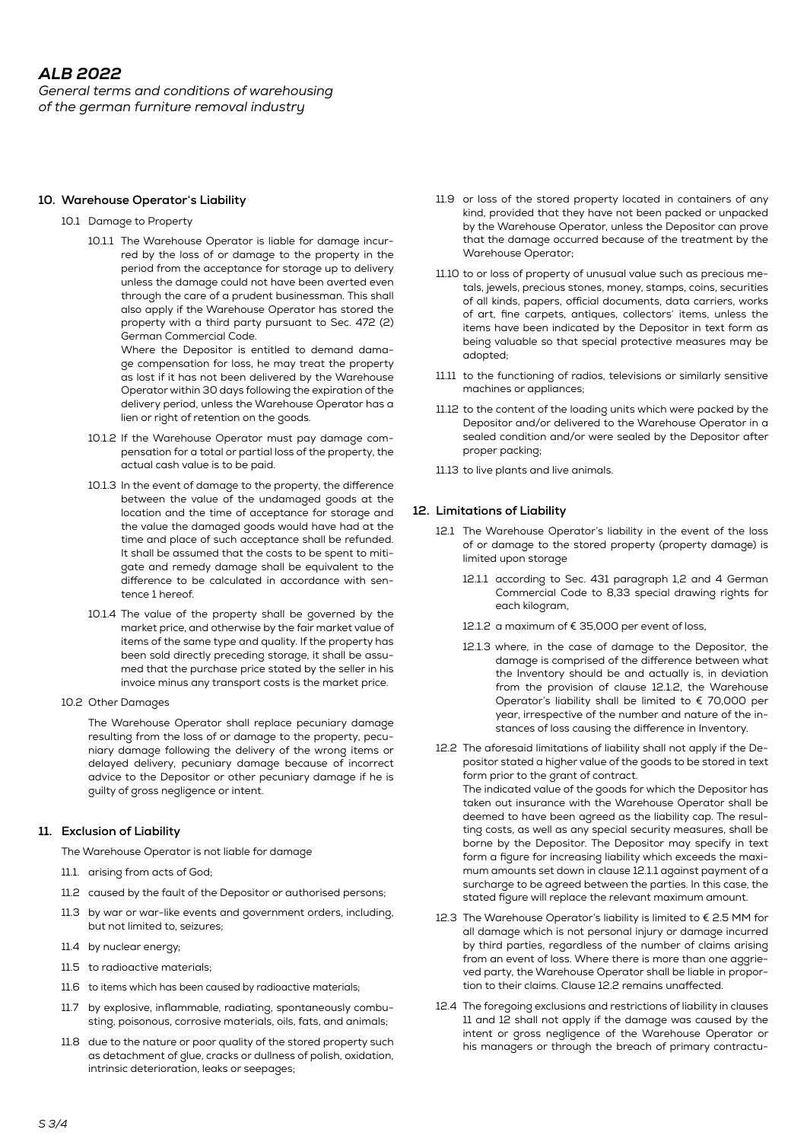*General terms and conditions of warehousing of the german furniture removal industry*

#### **10. Warehouse Operator's Liability**

#### 10.1 Damage to Property

 10.1.1 The Warehouse Operator is liable for damage incurred by the loss of or damage to the property in the period from the acceptance for storage up to delivery unless the damage could not have been averted even through the care of a prudent businessman. This shall also apply if the Warehouse Operator has stored the property with a third party pursuant to Sec. 472 (2) German Commercial Code.

 Where the Depositor is entitled to demand damage compensation for loss, he may treat the property as lost if it has not been delivered by the Warehouse Operator within 30 days following the expiration of the delivery period, unless the Warehouse Operator has a lien or right of retention on the goods.

- 10.1.2 If the Warehouse Operator must pay damage compensation for a total or partial loss of the property, the actual cash value is to be paid.
- 10.1.3 In the event of damage to the property, the difference between the value of the undamaged goods at the location and the time of acceptance for storage and the value the damaged goods would have had at the time and place of such acceptance shall be refunded. It shall be assumed that the costs to be spent to mitigate and remedy damage shall be equivalent to the difference to be calculated in accordance with sentence 1 hereof.
- 10.1.4 The value of the property shall be governed by the market price, and otherwise by the fair market value of items of the same type and quality. If the property has been sold directly preceding storage, it shall be assumed that the purchase price stated by the seller in his invoice minus any transport costs is the market price.
- 10.2 Other Damages

 The Warehouse Operator shall replace pecuniary damage resulting from the loss of or damage to the property, pecuniary damage following the delivery of the wrong items or delayed delivery, pecuniary damage because of incorrect advice to the Depositor or other pecuniary damage if he is guilty of gross negligence or intent.

# **11. Exclusion of Liability**

The Warehouse Operator is not liable for damage

- 11.1. arising from acts of God;
- 11.2 caused by the fault of the Depositor or authorised persons;
- 11.3 by war or war-like events and government orders, including, but not limited to, seizures;
- 11.4 by nuclear energy;
- 11.5 to radioactive materials;
- 11.6 to items which has been caused by radioactive materials;
- 11.7 by explosive, inflammable, radiating, spontaneously combusting, poisonous, corrosive materials, oils, fats, and animals;
- 11.8 due to the nature or poor quality of the stored property such as detachment of glue, cracks or dullness of polish, oxidation, intrinsic deterioration, leaks or seepages;
- 11.9 or loss of the stored property located in containers of any kind, provided that they have not been packed or unpacked by the Warehouse Operator, unless the Depositor can prove that the damage occurred because of the treatment by the Warehouse Operator;
- 11.10 to or loss of property of unusual value such as precious metals, jewels, precious stones, money, stamps, coins, securities of all kinds, papers, official documents, data carriers, works of art, fine carpets, antiques, collectors' items, unless the items have been indicated by the Depositor in text form as being valuable so that special protective measures may be adopted;
- 11.11 to the functioning of radios, televisions or similarly sensitive machines or appliances;
- 11.12 to the content of the loading units which were packed by the Depositor and/or delivered to the Warehouse Operator in a sealed condition and/or were sealed by the Depositor after proper packing;
- 11.13 to live plants and live animals.

# **12. Limitations of Liability**

- 12.1 The Warehouse Operator's liability in the event of the loss of or damage to the stored property (property damage) is limited upon storage
	- 12.1.1 according to Sec. 431 paragraph 1,2 and 4 German Commercial Code to 8,33 special drawing rights for each kilogram,
	- 12.1.2 a maximum of € 35,000 per event of loss,
	- 12.1.3 where, in the case of damage to the Depositor, the damage is comprised of the difference between what the Inventory should be and actually is, in deviation from the provision of clause 12.1.2, the Warehouse Operator's liability shall be limited to € 70,000 per year, irrespective of the number and nature of the instances of loss causing the difference in Inventory.
- 12.2 The aforesaid limitations of liability shall not apply if the Depositor stated a higher value of the goods to be stored in text form prior to the grant of contract. The indicated value of the goods for which the Depositor has taken out insurance with the Warehouse Operator shall be deemed to have been agreed as the liability cap. The resulting costs, as well as any special security measures, shall be borne by the Depositor. The Depositor may specify in text form a figure for increasing liability which exceeds the maximum amounts set down in clause 12.1.1 against payment of a surcharge to be agreed between the parties. In this case, the stated figure will replace the relevant maximum amount.
- 12.3 The Warehouse Operator's liability is limited to € 2.5 MM for all damage which is not personal injury or damage incurred by third parties, regardless of the number of claims arising from an event of loss. Where there is more than one aggrieved party, the Warehouse Operator shall be liable in proportion to their claims. Clause 12.2 remains unaffected.
- 12.4 The foregoing exclusions and restrictions of liability in clauses 11 and 12 shall not apply if the damage was caused by the intent or gross negligence of the Warehouse Operator or his managers or through the breach of primary contractu-